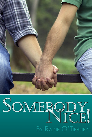

# SOMERODY, BY RAINE O'TIERNEY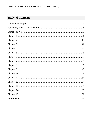# **Table of Contents**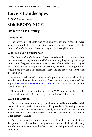# <span id="page-2-0"></span>**Love's Landscapes**

#### *An M/M Romance series*

# **SOMEBODY NICE!**

# **By Raine O'Tierney**

#### **Introduction**

The story you are about to read celebrates love, sex and romance between men. It is a product of the *Love's Landscapes* promotion sponsored by the *Goodreads M/M Romance Group* and is published as a gift to you.

#### **What Is Love's Landscapes?**

The *Goodreads M/M Romance Group* invited members to choose a photo and pen a letter asking for a short M/M romance story inspired by the image; authors from the group were encouraged to select a letter and write an original tale. The result was an outpouring of creativity that shone a spotlight on the special bond between M/M romance writers and the people who love what these authors do.

A written description of the image that inspired this story is provided along with the original request letter. If you'd like to view the photo, please feel free to join the [Goodreads M/M Romance Group](http://www.goodreads.com/group/show/20149-m-m-romance) and visit the discussion section: *Love's Landscapes*.

No matter if you are a long-time devotee to M/M Romance, just new to the genre or fall somewhere in between, you are in for a delicious treat.

#### **Words of Caution**

This story may contain sexually explicit content and is **intended for adult readers.** It may contain content that is disagreeable or distressing to some readers. The *M/M Romance Group* strongly recommends that each reader review the General Information section before each story for story tags as well as for content warnings.

This story is a work of fiction. Names, characters, places and incidents are the products of the author's imagination or are used fictitiously. Any resemblance to actual events, locales, or persons, living or dead, is entirely coincidental.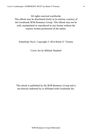All rights reserved worldwide.

This eBook may be distributed freely in its entirety courtesy of the Goodreads M/M Romance Group. This eBook may not be sold, manipulated or reproduced in any format without the express written permission of the author.

Somebody Nice!, Copyright © 2014 Raine O' Tierney

Cover Art by Mikhail Shadeed

This ebook is published by the *M/M Romance Group* and is not directly endorsed by or affiliated with Goodreads Inc.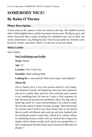# <span id="page-4-0"></span>**SOMEBODY NICE! By Raine O'Tierney**

## **Photo Description**

A man stares at the camera, a hint of a smirk on his lips. His stubble-covered chin is tilted slightly down, and he has intense brown eyes. His black, gray, and white checkered shirt is open revealing his collarbone and a bit of chest. He wears a fisherman's cap, hiding his hair. Only his ears peek out. Freckles cover his brow, cheeks, and chest. There's an old scar on his left cheek.

## **Story Letter**

*Dear Author,*

#### **NewYorkDating.com Profile**

**Name**: Danny

**Age:** 35

**Location**: New York City

**Sexuality**: Male seeking Male

**Looking for**: a nice person! Who loves dogs! And children!

#### **About Me**

This is Danny, he is a very nice person and he is very funny, but I think he is lonely. He helped me when my mom wanted to sell me to a reality show and now I live with him and I wanted to do something back for him so I want to find someone for him, because he has only me and Bunny, that's his dog, who is really big. And I'm 7 years old and Danny is 35, which is really old, but that doesn't matter he looks younger. Miss Portwood, my teacher said I need to say what Danny likes to do and he likes to walk with Bunny and work out and play football with me and Bunny and he works also, I think he is a police officer or something, he has a really cool car! And he has a ring in his nipple, which I think is really ouch, but he says people like it. I don't understand why but Danny says I need to be older but I'm already 7.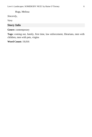Hugs, Melissa

*Sincerely,*

*Vera*

## **Story Info**

**Genre:** contemporary

**Tags:** coming out, family, first time, law enforcement, librarians, men with children, men with pets, virgins

**Word Count:** 19,016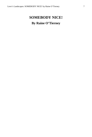# <span id="page-6-0"></span>**SOMEBODY NICE! By Raine O'Tierney**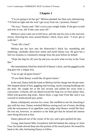<span id="page-7-0"></span>"I'm not going to let her go!" Melissa pleaded, her blue eyes shimmering. "I'll hold on tight and she won't get away from me, I promise, Danny!"

"No way," Danny said. "She's twice your weight, kiddo. If she gets excited and tries to run, she'd take your arms off."

Melissa's pout came out in full force, and she met his eyes in the rearview mirror, throwing her arms around Bunny's thick, fuzzy neck. "I *never* get to walk her."

"Yeah, life's hard."

Melissa put her face into the Rottweiler's black fur, mumbling and muttering—probably about how unfair and awful Danny was. He gave her a full two minutes to voluntarily emerge from the pout before he bribed:

"Wipe the dog fur off your lip and you can pick what we buy at the Treat Bar."

She immediately lifted her head off of Bunny's back, and she giggled as the dog gave her a sloppy kiss.

"Can we get all green bones?"

"If you think Bunny would like all green bones."

In the end, Danny held the leash as Melissa led the charge into the pet store. She skipped ahead of him, giggling and twirling, nearly running headlong into the door. He caught her at the last second, and pulled her away from a concussion. Unfazed, she ran ahead toward the long row of clear plastic bins, filled with gourmet dog treats. Above them, a sign read *Treat Bar* and it was covered in multicolored paw prints.

Bunny whimpered, anxious for a treat. She snuffled at one lid, knocking it ajar with her nose. Danny watched Melissa eyeing each set of treats, deciding with the seriousness of an appellate court judge what Bunny would like best. He was not, however, so attentive to the little girl that he missed the intense stare being directed at him.

Danny glanced out of the corner of his eye, and a grin quirked his lips.

Young, dark-haired Milo Swaisbrick half-hid behind the endcap of Aisle Four, his hands shoved deep into the pockets of his tweed jacket. He tossed his head to the side, beckoning Danny to follow.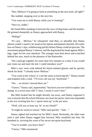"Hey, Melissa? I'm going to look at something on the next aisle, all right?"

She nodded, stepping over to the next bin.

"You want me to hold Bunny while you're looking?"

"Nice try, kiddo."

He found Milo standing in between the rows of dog bones and the leashes. He grinned sheepishly as Danny approached with Bunny.

"Hiding?"

"It's just… *Melissa*," he whispered. And then, so adorable that Danny almost couldn't stand it, he stood on his tiptoes and planted a hurried, off-center kiss on Danny's lips, withdrawing quickly before Danny could reciprocate. The movement piqued Bunny's interest, and the dog butted her head against Milo's legs, eager for her own attention. The younger man bent down and scratched behind her ears, much to the pleasure of the Rottweiler.

"We could get together for more than five minutes at a time if you would just come out and meet the kid. I could introduce you?"

Milo's eyes went wide behind his black-rimmed glasses and he quickly shook his head. "I already know Melissa."

"You work at her *school*, it's not the same as knowing her." Danny teased and tempted with a wink. "I'll even call you my 'boyfriend'."

"We… we haven't moved there yet."

"I know," Danny said, unperturbed, "but have you ever tried to explain 'just dating' to a seven-year-old? C'mon, I swear it won't hurt."

But Milo looked like he might literally run away, and Danny supposed it was a miracle that the school librarian, ten years his junior, had even responded to the text inviting him for a 'quick meet-up' at the pet store.

"Well, will you at least say 'hi' as my friend?"

"It might be weird at school," Milo said quickly. "And…"

Danny sighed and reached out for Milo's hand. Hesitantly, the other man took it and when Danny tugged him forward, Milo stumbled into him. He breathed in, savoring the scent of his secret not-quite-boyfriend.

"You're trouble, you know that?"

"I know," Milo murmured.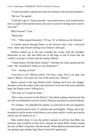"I want to be able to spend more than five minutes with you here and there."

"Me too," he agreed.

"I still don't get it," Danny pressed, "your mom knows, your friends know, even a couple of the teachers know, but you're scared of coming out to a sevenyear-old?"

Milo frowned. "I just…"

"Need time."

"I'll…" Milo started hesitantly, "I'll say 'hi' to Melissa as the librarian."

A warmth spread through Danny at the nervous man's tiny—*miniscule* even—baby step toward coming out to Danny's little girl.

Melissa looked up as the men rounded the corner with the energetic Rottweiler in tow. She had filled one of the bags so full of treats that she couldn't even get it closed with the nearby ribbons.

"I think Bunny will like these, Danny!" And then her smile spread and she cried, "Mr. Swaisbrick? What are you doing here?"

"I'm… buying cat food."

"You have a cat?" Melissa asked. "We have a dog. This is our dog—her name is Bunny. Can I give her one of the treats now, Danny?"

Bunny pawed at the bag Melissa held, looking back over her doggieshoulder so that the whites of her eyes showed. It was one of her most adorable begs, but Danny wasn't falling for it.

"Not until we've paid for them."

"How come you aren't at the library?" she asked, putting a hand on her hip as if she was offended to see her school's librarian anywhere except the library.

"It's Sunday," he reminded her quietly, as awkward as she was impatient.

Her mouth formed a little 'O' and then she said brightly, "Danny, this is Mr. Swaisbrick and he works in the library at our school and he's really nice and he checks out our books for us."

Milo smiled shyly. It was the perfect moment to tell her that Milo was someone who would be in their lives. Instead, he shook Milo's hand, teasing the skin of Milo's knuckles with his thumb. When Melissa informed them she was going to get another bag, Danny seized his opportunity.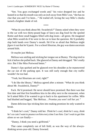"See. You guys exchanged words and," his voice dropped low and he leaned in so that his mouth was only an inch away from Milo's ear, "she has no clue that you and I've been…" He trailed off, loving the way Milo's cheeks turned a brighter shade of red.

\*\*\*\*

"What do you think about Mr. Swaisbrick?" Danny asked when they were in the car with two thirty-pound bags of fancy-ass dog food for the spoiled Rottie and three small baggies filled with dog treats—all green. He imagined what Milo would do if he were in the car to hear the question. He'd probably slap both hands over Danny's mouth. He'd be so afraid that Melissa might *figure it out* that he'd panic. For a school librarian, the guy was damn uncertain around kids.

Or maybe just Melissa.

Melissa was smiling and sticking her tongue out at Bunny. The dog tried to lick it before she pulled back. She glanced at Danny and shrugged. "He's really nice. But I like Miss Portwood better."

Danny's lips quirked and he glanced over his shoulder as he maneuvered the car out of the parking spot. It was still early enough that city traffic wouldn't be too bad.

"Yeah, but librarians are cool, right?"

"I do like the library," Melissa agreed after a minute. "What do you think about Mr. Swaisbrick, Danny?"

Fuck. He'd promised. He never should have promised. But there was that first date and that first breathless kiss in the alley next to the restaurant, when he'd asked Milo if he wanted to go to back to his apartment for coffee. Milo had blushed and begged, "*But Melissa… Promise you won't tell her yet."*

Damn delicious lips tricking him into making promises he only wanted to break.

"I think he's cool," Danny told her. *Think he's cool, think he's sexy, think he's so cute I want to pounce on him every time I see him. Can't wait to get him alone so we can* finally—

"Danny, I think you need a girlfriend."

That came completely out of left field, as was the way of the alwaysthinking seven-year-old. Danny frowned.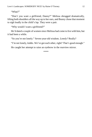"What?"

"Don't you want a girlfriend, Danny?" Melissa shrugged dramatically, lifting both shoulders all the way up to her ears, and Bunny chose that moment to sigh loudly in the child's lap. They were a pair.

"Why would I want a girlfriend?"

He'd dated a couple of women since Melissa had come to live with him, but it had been a while.

"So you're not lonely." Seven-year-old wisdom. *Lonely?* Really?

"I'm not lonely, kiddo. We've got each other, right? That's good enough."

He caught her attempt to raise an eyebrow in the rearview mirror.

\*\*\*\*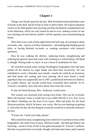<span id="page-12-0"></span>Things were finally quiet for the day. Milo Swaisbrick had sorted three carts of books at the desk, but he'd had no time to shelve them. He'd given database classes to the fifth graders that morning and then facilitated a standardized test in the afternoon, which not only meant he had to rove, making certain no one was cheating, but also that he couldn't roll the squeaky carts around putting up books.

Then there was a rash of kids right before the bell rang, all wanting to check out books, and—almost as if they'd planned it—all needing help finding special titles, or having blocked accounts, or wanting assistance with research questions.

Now he was walking the shelves, replacing books, straightening and ordering the general chaos that came with working in a school library. He liked it, though. Putting order to chaos. It was a form of meditation for him.

He switched around some George Washington biographies that had been pulled off the shelves by eager hands and filed back incorrectly. He was scheduled to work a Saturday next month—maybe he could do an inventory and find books the catalog said were missing. He'd once found a small paperback that was supposedly lost in 1997, pushed back between two shelves. In a public library, the records would have eventually been deleted. At St. Vincent's Academy, they had notes about fines from the sixties.

If only the head librarian, Mrs. Anderson, would retire…

The woman was obsessed with saving every book. *This can be re-bound, Milo!* she insisted. Yeah, it could, but it was called *Will the U.S.A. Ever Go to the Moon?* Binding was the least of its issues. Milo had plans for the head librarian position, which, he knew, was cocky. But he was banking on getting it. And when he did, the first thing he would do would be to weed the reference section.

"Excuse me. I need your help, please."

Milo turned his head, straightening from where he'd crouched in front of the biographies. His smile froze in place. Melissa Goode—the little girl Danny was fostering—stood in front of him in her gold and purple St. Vincent's uniform. Her hair was parted into two braids, though curls had come loose, and it seemed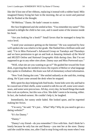like she'd lost one of her ribbons, replacing it instead with a rubber band. Milo imagined Danny fixing her hair in the morning, the act so sweet and paternal that he flushed at the thought.

"M-Melissa." Damn. He hadn't meant to stutter.

Her face brightened and she smiled at him. "You remember my name!" This seemed to delight the child to her core, and it eased some of the tension inside his heart.

"Are you looking for a book?" Small favors that he managed to keep his voice level.

"I need your assistance getting on the Internet." He was surprised by how well-spoken she was relative to her grade. She flashed him a brilliant smile and said, "I'm in Miss Portwood's Advanced Group on Tuesdays and Thursdays and we have permission to get on and look at *Amazing Animals of the World* and *MUZZY Online* and *National Geographic Kids* during class. But I'm not supposed to go to any other sites alone. Danny says and Miss Portwood says."

"Well, what site are you wanting to go to?" He guided her toward the front desk, expecting that she needed to know the exports of Belize or what language they spoke in Zimbabwe. His brain was full of elementary school information.

"New York Dating dot com." She smiled radiantly as she said this, trotting along. He'd just come around the desk when he stopped.

Milo spent his days helping kids find books. Some kids were shy and had to be coaxed out of their shells, some wanted to talk his ear off, some were smartasses, and some were precocious. All day, every day, he heard things that made him cock an eyebrow, but this was a first. She didn't seem to be teasing, either. In fact, she looked earnest. He couldn't help it, he laughed.

Immediately, her sunny smile faded. She looked upset, and he regretted making her frown.

"I'm sorry," he said. "It's just… What? *Why?* Why do you need to get on a dating website?"

"It's for Danny."

"Danny."

"Danny's my friend—do you remember? I live with him. And I think he's lonely because he only has me and Bunny—you met her at the store. Danny said she could be mine, too, after I had to stop living with my mom when I was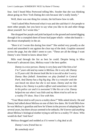four. And I heard Miss Portwood telling Mrs. Snyder that she was thinking about going on New York Dating dot com because she's really lonely."

Well, there was one thing for certain, the kid knew how to talk.

"And I asked Miss Portwood what it was and she said that it's for people to meet other people, but you have to say what you like to do and other things about yourself. So I wrote this."

She dropped her purple and pink backpack to the ground and started digging through it for a crumpled sheet of loose-leaf paper which—when she found it she thrust triumphantly in the air.

"Here it is! I wrote this during free time!" She smiled very proudly as she stood and smoothed it out against the clear top of the desk. Graphite smeared across the page, but she didn't seem to care. "These are all the things I want Danny's new friend to know about him."

Milo read through the list as best he could. Despite being in Miss Portwood's advanced class, Melissa wasn't the best speller.

*Danny is a nice person. Danny is very funy and I like him a lot! I'm 7 years old and my name is Melissa. He is very old. Danny is 35 years old. He doesnt look like he is too old so don't worry. Danny likes fotball. Sometimes we play football in Central Park. And Danny has a big big dog. She is a rotwyler and she can knock me down but she is not mean. Danny and me like Bunny a lot. Danny is a police offiser and sometimes I can ride in his police car and it is awesome! I like his car a lot. Danny helped me out when I was little and my Mom tried to sell me to a reality TV show. Now I live with him.*

"Your Mom tried to sell you to a reality show?" Milo asked slowly. He and Danny had talked about Melissa on one of their few dates. He'd told Milo how he was Melissa's guardian and how he'd been in the process of adopting her for several years, but there always seemed to be setbacks. He'd never said *anything*  about Melissa's biological mother trying to sell her to a reality TV show. Who would do that? And *how*?

Melissa shrugged and nodded as if it weren't a big deal at all.

*Danny's new friend has to: Be somebody nice!*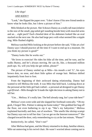# *Like dogs! AND KIDS!!!*

"Look," she flipped the paper over. "I don't know if his new friend needs to know what he looks like, but I drew a picture of him."

Milo blinked at the picture. She'd drawn Danny as a really tall man (relative to the size of the small, pig-tailed girl standing beside him) with muscled arms and an… *eight pack*? Each chiseled dent of his abdomen looked like an oval stacked on the next one. He also had large pecs with what seemed like a nipple ring. Milo flushed slightly.

Melissa watched Milo looking at the picture before she said, "I like art a lot! Danny says I should practice all the time if I want to end up in a museum. Do you think my picture is good?"

"Danny looks like he works out."

"He loves to exercise! He rides his bike all the time, and he runs, and he walks Bunny, and he's always moving. He can do, like, a thousand million push-ups. So, will you help me get online, please?"

The picture of Danny smiled up at Milo—his mouth a red 'U', his eyes brown dots, no nose, and short little spikes of orange hair. Melissa shifted impatiently from foot to foot.

From the beginning of their awkward dating relationship, Danny had wanted to tell Melissa the truth. It was Milo that held back. Looking down at the personal ad the little girl had crafted—a personal ad designed to get Danny a *girlfriend*—Milo thought he'd made the right decision in asking Danny not to tell her.

"Um… Melissa. It's really late. The bell already rang. Isn't your ride here?"

Melissa's eyes went wide and she slapped her forehead comically. "Oh my gosh, I forgot! Mrs. Palmer is taking me home today!" She grabbed her bag off the floor, not even bothering to zip it up. "She's my babysitter," Melissa explained hurriedly and then, out of nowhere. "She smells like shrimp scampi but Danny says not to tell her that. Can we get on the Internet tomorrow?" She charged toward the door, only remembering to cry at the last minute, "Please?"

Instinctively, he called, "Don't run!"

After Melissa had gone, and the library returned to its deep, familiar silence, Milo sat unmoving in his swivel chair. He wasn't worried about coming out to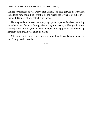Melissa for himself; he was worried for Danny. The little girl was his world and she adored him. Milo didn't want to be the reason the loving look in her eyes changed. But part of him selfishly wished…

He imagined the three of them playing a game together, Melissa chattering about her day in fantastic third-grade *non sequitur*, Danny rubbing Milo's foot secretly under the table, the big Rottweiler, Bunny, begging for scraps he'd slip her from his plate. It was all so *domestic*.

Milo stared at the bumps and ridges in the ceiling tiles and daydreamed. He and Danny needed to talk.

\*\*\*\*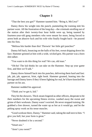<span id="page-17-0"></span>"That the best you got?" Hammer taunted him. "Bring it, McCrea!"

Danny threw his weight into the punch, pummeling the training mitt his partner wore. All the frustration of the long day—the criminals strolling out of the station after their twenty-four hour holds were up, being taunted by fourteen-year-old gang members who were meant for more, being forced to arrest both an abusive fuck and his wife who finally fought back—he poured into his fists.

"Melissa hits harder than this! Throwin' her little girl punches!"

Danny fell back, bouncing on the balls of his feet, sweat dripping down his face. Hammer grinned at him with a wide, wicked grin. His partner was a born shit-talker.

"You want to do this thing for real? We can, old man."

"Oh-ho! The kid thinks he can take on the Hammer. Step up your game first, and then we'll talk."

Danny threw himself back into his punches, delivering them hard and fast: jab, jab, jab, uppercut, feint, right hook. Hammer grunted, leaning into the barrage and Danny knew if they'd been fighting for real, he'd have knocked his partner on his ass.

Hammer nodded his approval.

"Think you've got it, kid."

They hit the showers. Thick steam lingered as other officers, desperate to hit their numbers for the upcoming fitness review, washed away the sweat and grime of their workouts. Danny wasn't worried. He never stopped training. He grabbed a free shower, turned the water up as hot as it would go, and let the pelting spray work on his tense muscles.

"Good workout there, Danny," Hammer said, taking the stall next to him. "I give you hell, but your form is great."

"Never doubted it for a second."

"Smart-ass."

"Aren't you sweet?"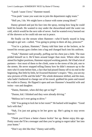"I push 'cause I love," Hammer teased.

"You push 'cause you want me to join the department rugby team."

"Hell yes, I do. We might have a chance with some young blood."

Danny grinned and put his face into the spray, testing how long he could hold his breath. He wanted to stay under the showerhead until the water ran cold, which would be the next side of never. And he wanted every bastard out of the showers so he could rub one out in peace.

He finally cut the stream when Hammer—who'd barely stayed in long enough to get wet—called, "You going to primp in there all day, princess?"

"You're a jackass, Hammer," Danny told him later at the lockers, as he tossed his sweaty gym clothes into a bag and changed back into his uniform.

"Yeah," Hammer said proudly, puffing out his chest just a little. The man prided himself on it. He'd been around longer than most. Where other men aimed for higher positions, Hammer enjoyed working patrols. He'd had a lot of partners—lost most of them to the climb, some to the stress of the job, one to the streets. He never stopped telling Danny how he didn't measure up to the men who'd come before him, a fact that had pissed Danny off to no end in the beginning. But little by little, he'd earned Hammer's respect. "Hey, you see my new pictures of Elle and the kids?" His whole demeanor shifted, and the man, who hadn't bothered to change out of his towel, grabbed his pants and tossed his wallet to Danny. He flipped it open and saw Hammer's beautiful wife and twins—son and daughter.

"Damn, Hammer, when did they get so big?"

"Dunno, kid. I blinked and they were already driving."

"Melissa isn't ever going to drive."

"Oh? You going to lock her in her room?" He barked with laughter. "Good luck with that."

"Nah, I'm just not going to let her grow up. She's going to stay seven forever."

"Think you'd have a better chance lockin' her up. Better enjoy this age. Pretty soon she'll be a teenager and then you're going to regret takin' her into your home."

"Don't say shit like that," Danny said stiffly.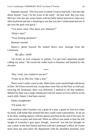Hammer snorted. "The first time I wished I'd never had kids, I felt like shit about myself. 'God, I'm the scum of the earth.' All that stuff. But you wait, McCrea. One day she comes home with her belly button pierced or some new idiot boyfriend and she's shrieking at you that you don't understand and you'll get over the guilt *real* quick."

"You know what I like about you, Hammer?"

"What's that?"

"Your fucking optimism."

Hammer snorted.

Danny's phone buzzed. He looked down—new message from the Lieutenant.

*My office. ASAP.*

"As lovely as your company is, partner, I've got more important people calling my name." He tossed the wallet back to Hammer and headed for the elevator.

\*\*\*\*

"Hey, Lieut, you wanted to see me?"

"Come on in, McCrea. Take a seat."

There wasn't really a seat to take. Both chairs were stacked high with boxes of files. He'd have moved one, except there were files on the floor as well and, knowing the lieutenant, there was definitely a method to all that madness. Behind his desk was a large whiteboard with the names of every officer on his watch shift. Danny's had been starred.

Danny straightened.

"I'll stand, Sir."

Lieutenant John Greenley was a giant of a man, a good six foot five when he stood, with hands that seemed like they could crush watermelons. As he sat at his desk, reading reports, with his glasses perched on the end of his nose, he came across as quiet and reserved. When an officer was made to bear the full weight of Greenley's gray gaze, though, 'reserved' was the last thought on one's mind. In the time Danny had been with the Lieutenant's office, he'd seen more than one man leave the department with his shoulders hunched, eyes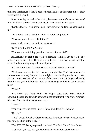turned to the floor, as if they'd been whipped. Bullies and bastards alike—their Lieut felled them all.

Now, Greenley sat back in his chair, glasses on a stack of memos in front of him. He didn't glare at Danny, *per se*, but his expression was stern.

"Look, McCrea—you know I don't have time for bullshit, so let's have at it."

The asterisk beside Danny's name—was this a reprimand?

"What are your plans for the future?"

Jesus. Fuck. Was it *worse* than a reprimand?

"Give my all to the NYPD, sir."

"You see yourself doing patrol for the rest of your life?"

No. Actually, he didn't. He wasn't a lifer like Hammer. But he wasn't one to bitch and moan, either. They all had to do their stint. Just because his stint seemed to be running longer than he'd planned…

"If I put in my time, do good work, someone's bound to notice."

"Well, someone's noticed," Greenley said gruffly. "And that someone is curious how seriously interested you might be in climbing the ladder. Look, McCrea. You're smart and you're one of the hardest working boys we have in here. I know you're itchin' for more of a challenge, and better pay is always nice."

"Yessir."

"But here's the thing. With the budget cuts, there aren't enough opportunities for good men to advance in the department. You show promise, McCrea. And I want to see you succeed."

"Yessir."

"You've never expressed interest in making detective, though."

"No, sir."

"That's what I thought." Greenley cleared his throat. "I want to recommend you for a position at the RTCC."

"The RTCC?" Danny repeated, confused. The Real Time Crime Center.

"You work your ass off, you could make a name for yourself there."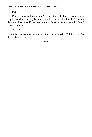" $But$ "

"I'm not going to shit you. You'd be starting at the bottom again. Only a step or two above the *very* bottom. It would be a lot of hard work. But you're dedicated, Danny, and I see an opportunity for advancement there that I don't see for you here."

"Yessir."

As the lieutenant waved him out of his office, he said, "Think it over. Just don't take too long."

\*\*\*\*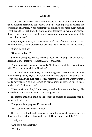<span id="page-22-0"></span>"You seem distracted," Milo's mother said as she set dinner down on the table. Another casserole. He looked from the bubbling pile of cheese and broccoli up at her face. When his father was still alive, she made every meal an event. Salads to start, then the main course, followed up with a homemade dessert. Now, she expertly cut their large casserole into squares with a spatula. "Everything okay?"

*Everything okay with* you*?* He wanted to ask. But of course it wasn't. That's why he'd moved home after school, because she'd seemed so sad and small.

"Sure," he told her.

"How was school?"

She'd never stopped asking. From his first day of kindergarten to now, as a librarian at St. Vincent's Academy. *How was school?*

"Something weird happened, actually," Milo said, grateful to have a story to tell. "You remember Melissa Goode—"

"Your boyfriend's daughter," his mother agreed cheerfully. He laughed, remembering Danny saying that it would be hard to explain 'just dating' to a seven-year-old. It was even harder to tell his mother that he and Danny weren't really boyfriends. Yet. She seemed so happy about it. Her son finally had a boyfriend. "What about her?"

"She came in with this, I dunno, essay that she'd written about Danny. She wanted me to put it up on New York Dating dot com."

His mother cracked a smile as she scooped a helping of casserole onto his plate. He thanked her.

"So, you're being replaced?" she teased.

"Ma, you know she doesn't know."

Her eyes were kind as she studied her son, but when she spoke, she was direct and firm. "Milo, if I remember right, Danny wants to tell her?"

"Yeah, but—"

"And she's his daughter."

"Yes, but—"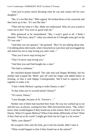"And you're pretty much dictating what he can and cannot tell his own daughter."

"Ma, it's not like that," Milo argued. He looked down at his casserole and then back up to her. "It's not like that."

"Then tell me what it's like. Make me understand. Why are you scared to come out to her? You were so good with me."

Milo grimaced as he remembered. "Ma, I wasn't good at all. I think I shouted, 'I like boys, okay?!' when you asked me if I thought some girl on the TV was cute."

"And then you ran upstairs," she grinned. "But I'm not talking about that. I'm talking about afterwards, when I knocked on your door and you hugged me and asked me not to stop loving you and I said—"

"That you'd never stop loving me."

"That I'd never stop loving you."

"And then you and Dad bought me a cake."

"We had to celebrate."

He chuckled despite himself. The cake had said *Happy Birthday*, but his mother had scraped the 'Birth' part off with her finger and added letters in frosting, so that it said *Happy Comingoutday*. She'd had to squeeze it all together to make it fit.

"I don't think Melissa's going to make Danny a cake."

"Is that what you're worried about? Danny?"

"Of course, Danny."

"I just thought, because of St. Vincent's…"

Neither one of them had touched their food. He was too worked up to eat and she was, as always, waiting for him. Milo furrowed his brow. "Ma, I don't know what would happen if they found out at the school. But it's not that. It's Danny. What if it upsets Melissa? What if she thinks differently of him? What if they find out at *his* work? I might get fired, but he'd get it a *lot* worse."

"Milo, your dinner?"

He scooped a bite onto his fork, put it into his mouth, didn't taste it.

"What would happen to him if they found out at the station?"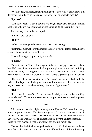"Well, honey," she said, finally picking up her own fork. "I don't know. But don't you think that's up to Danny whether or not he wants to face it?"

"I just—"

"And as for Melissa. She's obviously a bright, happy girl. You think finding out her guardian is in a relationship with a man is going to *ruin* her life?"

Put that way, it sounded so stupid.

"So what did you do?"

"Huh?"

"When she gave you the essay. For New York Dating?"

"Nothing. I mean, she went home for the day. I've still got the essay. I don't actually know what I'm going to do."

"Seems like a good opportunity for a talk."

"I guess."

The truth was, he'd been thinking about that piece of paper ever since she'd left. He'd read it several times, looking at the picture on the back, thinking about the Danny he was getting to know and the Danny who—to that sevenyear-old at St. Vincent's Academy, at least—was the greatest guy on the planet.

"Can you help me get a picture onto Facebook?" his mother asked suddenly. "My profile is just this little gray person with no face. And I know there's a way to make my picture be on there, I just can't figure it out."

"Huh?"

"Facebook, I need—Oh, I'm sorry sweetie, did you want to keep talking about Melissa?" To her the answer was so simple that there was nothing more to say about it.

\*\*\*\*

Milo went to bed that night thinking about Danny. He'd seen him many times, dropping Melissa off in the mornings as Milo rode his bike to the school, and he'd always noticed the tall, handsome man. No ring. No woman with him. But to say Milo was shy was an understatement beyond understatements. He couldn't even manage a 'hello' until that day about a month ago.

The weather had finally changed, and the icy chill of winter was replaced with the cool breeze of spring. It was probably still a bit chilly to be eating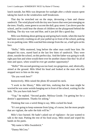lunch outside, but Milo was desperate for sunlight after a whole season spent taking his lunch in the windowless staff breakroom.

That day he stretched out on the steps, devouring a ham and cheese sandwich. The wind played with the tiny new leaves that were just emerging on the trees. Finally, some green to accent the dull, gray street. Cars drove past the school, and he could hear the shouts of children on the playground behind the building. The sky was vast and blue, and it just *felt* like a good day.

Milo was thinking about getting up and going back inside, when the man he had been secretly crushing on all year pulled up in front of the school, parking in a no-parking zone. Milo watched him emerge from the car, a half-grin on his face.

"Hello," Milo muttered, long before the other man could hear him. He dropped his eyes, stared hard at the last few bites of sandwich. They were alone, outside the school, on this perfect day. And the father was going to walk right past him and when would there ever be another chance like this? In all of time and space, when would he ever get another opportunity?

"Hello!" His second greeting was too loud, too gregarious, and, idiotically, aimed at the ground. Milo lifted his head and looked at the man who had stopped next to him on the step.

"Do you work here?"

Instinctively, Milo raised the photo ID around his neck.

"I work in the library," Milo told him, realizing that the man might be worried he was some weirdo hanging out in front of the school, waiting for the kids. "Do you have kids here?"

"Yup," he replied. "Second grader, Melissa Goode. I'm getting her for a dentist's appointment. Thanks for asking."

Thinking that was a weird thing to say, Milo cocked his head.

"It's not going to keep someone from lying, of course, but the more people that are vigilant, the safer the kids will be."

Milo's face burned. He hadn't asked out of vigilance—he just wanted to talk to the man. Putting the rest of his food away, Milo stood and wiped his hands on his pants.

"My name is Milo Swaisbrick."

"Danny McCrea."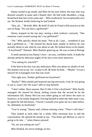Danny turned to go inside, and Milo let his eyes follow the man who was dressed casually in jeans and a flannel shirt. He had wide shoulders, a long, broad back that met a trim waist and… Milo swallowed. An exceptionally nice ass. He flushed, hardly believing he had looked.

"Hey, uh…" *Be bold, Milo. Be bold!* If only he'd had a *little* practice at this sort of thing. "Do you have a girlfriend?"

Danny stopped on the top step, raising a dark eyebrow curiously. "Has someone come around saying she's my girlfriend?"

"No." Milo quickly shook his head. "Not at all. I just… wondered if you had a girlfriend or..." He cleared his throat hard, unable to believe he was actually about to ask what he was about to ask. He looked down at his hands. "A boyfriend?" Dammit. Milo flushed, glancing up. He was so bad at flirting!

A smile spread across Danny's face—an easy, confident smile. It made the already perfectly delicious angles of his face even more attractive.

"You asking for yourself?"

If the heat in his face was any indication, Milo was about six shades of red. His instinct was to say 'no', to play it off. *Be bold, be bold…* "Maybe." It was a miracle he'd managed even that one word.

"Not right now. Neither girlfriend nor boyfriend."

"Really?" Milo smiled and bounced one leg nervously. God, he was going to say it, wasn't he? He wasn't able to stop himself.

"I don't either. Have anyone. But if I did, it'd be a boyfriend." Milo finally managed. He cleared his throat, feeling certain that the second he let the information fall, Danny McCrea was either going to roll down the stairs in hysterics, or be totally disgusted. Forcing himself to meet the older man's eye, he opted for full disclosure, "I haven't actually ever gone out on a date before. So, definitely no boyfriend."

"You're young," Danny said, without missing a beat. "There's still time."

They looked at each other for a while, Milo uncertain how to end the conversation. He opened his mouth to say, *"You better get Melissa or you're going to be late…"* when Danny pressed:

"So, are you asking me out?"

Milo blinked, his nerve-endings on fire.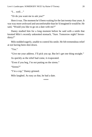```
"I… well…"
```
"Or do you want me to ask you?"

Here it was. The moment he'd been waiting for the last twenty-four years. It was way more awkward and uncomfortable than he'd imagined it would be. He said, "Would you like to go on a date with me?"

Danny studied him for a long moment before he said with a smile that knotted Milo's recently unknotted stomach, "Sure. Tomorrow night? Seventhirty?"

Milo nodded eagerly, unable to control his smile. He felt tremendous relief at not having been shot down.

"Yes."

"Give me your address. I'll pick you up. But let's get one thing straight."

As quickly as the relief had come, it evaporated.

"Even if you beg, I'm *not* putting on the sirens."

"Sirens?"

"I'm a cop," Danny grinned.

Milo laughed. As easy as that, he had a date.

\*\*\*\*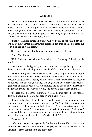<span id="page-28-0"></span>"May I speak with you, Danny?" Melissa's babysitter, Mrs. Palmer asked that evening as Melissa darted in front of her and into the apartment. Danny looked down at the small Englishwoman, expecting her to ask for another raise. Even though he knew that her apartment was rent-controlled, she was constantly complaining about the price of *everything*, haggling with him for a five-cent raise here, a ten-cent raise there.

"Danny!" Melissa butted in loudly. "Do you want to see what I can do?" She slid wildly across the hardwood floors in her knee-socks, her arms out. "I'm skating! Isn't that great?"

He glanced back at Mrs. Palmer who looked very displeased.

"Sure, Mrs. Palmer."

"No!" Melissa cried, almost frantically. "I… I'm sorry. I'll tell you the truth!"

Mrs. Palmer looked grumpy and let a little chuff escape her lips. It wasn't the first time Melissa had gotten in trouble while staying at her babysitter's.

"What's going on?" Danny asked. It had been a long day, he had a lot to think about, and if he had to pay for another broken Union Jack lamp he was probably going to lose it. Bunny whined on the floor near Melissa, rolling over on her back and showing her belly. The dog always got a treat when Melissa got home, and it had been a full two minutes and no one had given her one of the green biscuits she so loved. "Well, one of you'd better start telling it."

"Melissa and the school librarian—" Mrs. Palmer started, but Melissa quickly interrupted her. She declared in one single breath:

"I went to the library today because I needed to get on the Internet and you said don't ever get on the Internet by myself and Mr. Swaisbrick is very helpful and I knew he could help me and I asked him if he'd help me get onto a website and he said yes and we're going to get on the website tomorrow. And I wasn't going to tell because it was going to be a surprise and then I accidentally told Mrs. Palmer and I really, really, *really* wish I hadn't."

"What website?"

Melissa was silent, her eyes wide, her bottom lip trembling. Next would come the tears. The girl was tenderhearted, yes, but she also knew he was weak against her tears. He turned to the babysitter.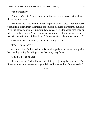"*What* website?"

"Some *dating* site." Mrs. Palmer puffed up as she spoke, triumphantly delivering the news.

"Melissa?" he asked levelly. It was his police officer voice. The one he used with little kids caught in the middle of domestic disputes. It was firm, but kind. A *let me get you out of this situation* type voice. It was the voice he'd used on Melissa the first time he'd met her, when her mother—strung out and raving had tried to barter the child for drugs. "Do you want to tell me what happened?"

She shook her head quickly, the tears starting to fall.

 $T'm... I'm...$  sorry!"

And she bolted for her bedroom. Bunny hopped up and trotted along after her, the dog loving few things more than wet, salty faces.

"This has got to be a joke."

"If you ask me," Mrs. Palmer said loftily, adjusting her glasses. "This librarian must be a pervert. And you'd do well to arrest him. Immediately."

\*\*\*\*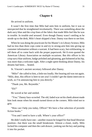<span id="page-30-0"></span>He arrived in uniform.

It wasn't the first time that Milo had seen him in uniform, but it was so unexpected that he straightened involuntarily. There was something about the dark navy blue and the crisp lines of the fabric that made Milo feel like he was in trouble. In trouble *and* aroused. Even though Danny wasn't smiling as he strode up to the desk, Milo's heart skipped a beat. Danny was there to see him.

When he was doing the practicum for his Master's in Library Science, Milo had no less than three cops come in and try to strong-arm him into giving up customer information without a warrant. It had been scary, but exhilarating, to tell them all to come back with the proper paperwork. He'd even quoted the American Library Association on multiple occasions. But *this* officer in his crisp navy blue uniform, badge polished and gleaming, gun holstered at his hip, was more than a welcome sight. After a night spent thinking about Danny, his dreams had been… heated.

St. Vincent's ancient secretary followed after Danny.

"Milo!" she called to him, a little too loudly. Her hearing aid was out again. "Milo, dear, this officer is here to see you! I couldn't get the damn intercom to work, so I'm announcing him to you directly."

"Thank you, Ms. Reynolds."

" $Eh$ ?"

He waved at her and smiled.

"You." Danny faux-scowled. The old, faded scar on his cheek almost made him look mean when his mouth turned down at the corners. Milo tried not to grin.

"How can I help you today, Officer? We have a fine selection of juvenile fiction books."

"You and I need to have a talk. Where's your office?"

He didn't really have one—another reason he longed for that head librarian position—but there was the small breakroom. Almost a closet, really. Milo locked his computer and then the cash drawer, yanking out the key and putting it into his pocket.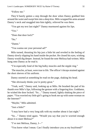"Follow me."

They'd barely gotten a step through the door when Danny grabbed him around the waist and swept him into a deep kiss. Milo wrapped his arms around Danny's neck and snuggled into him tightly, relieved he was there.

"You got my text last night?" Danny murmured against his lips.

" $V_{\text{ex}}$ "

"Does that door lock?"

" $N_0$ "

"Damn."

"You wanna see your personal ad?"

Milo turned, thrusting his hip just a little bit and reveled in the feeling of Danny slowly slipping his hand inside the pocket. He closed his eyes, wishing Danny would dig deeper. Instead, he found the note Melissa had written. Milo hung onto Danny as he read it.

"I'm especially fond of the big bulky muscles and the nipple ring."

The muscles, at least, were true to life. The officer's biceps strained against the short sleeves of his uniform.

Danny snorted at something he read on the page, shaking his head.

"She obviously thinks you're pretty great."

"Yeah, well," Danny said, looking up at Milo. He brushed the pad of his thumb over Milo's lips, following the gesture with a lingering kiss. Goddamn, he wished the door locked. "So…" Danny teased, lightly shaking the piece of paper. "You worried my little girl's going to hook me up with some woman on the Internet?"

"Maybe," Milo admitted.

"Just a little?"

"I may have had a very long talk with my mother about it last night."

"So…" Danny tried again. "Would you say that you're worried enough about it to meet Melissa?"

"I've met Melissa, Danny, I—"

"You know what I mean. Can I finally introduce you as my boyfriend?"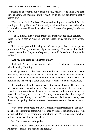Instead of answering, Milo asked quietly, "There's one thing I've been curious about. Did Melissa's mother *really* try to sell her daughter to reality television?"

"That's what I told Melissa," Danny said tracing the line of Milo's chin, sending a chill up his spine. "She actually tried to sell her to her dealer. God knows what he would have done to her. He won't do anything now, I made sure of that."

"You… *killed*… him?" Milo groaned as Danny nipped at his earlobe. He could feel hot breath on his cheek and the sensation was making him way too hard.

"I love that you think being an officer is just like it is on police procedurals." Danny's tone was light, and teasing. "I *arrested* him. And I arrested the mother. They won't be getting out until Melissa's in college, at the earliest."

"Are you ever going to tell her the truth?"

"If she asks," Danny murmured into Milo's ear. "So far she seems content with the reality TV thing."

A sharp knock at the door interrupted their conversation, and Milo practically leapt away from Danny, running the back of his hand over his mouth. Danny, who never seemed flustered, opened the door. The head librarian and the principal stood there. Both women looked in suspiciously.

"Is everything all right here, officer?" the principal asked. The librarian, Mrs. Anderson, scowled at Milo. That was nothing new. She was always scowling. He was pretty sure he wouldn't recognize her if she didn't scowl. He looked from Danny to the women. Did they know what they'd been up to? Could they hear through the door? For a moment, his dreams of being head librarian and getting his chance to weed the reference section flashed before his eyes.

"Of course," Danny said amiably. Completely different from the seductive man he'd been minutes before. "Just stopped by to see if the library might want to host a children's safety program. Something the NYPD likes to do from time to time. Since my little girl goes here—"

"Oh," both women said together.

"Well, Officer, these sorts of matters usually go through me or Mrs. Anderson—as she's the head of the library."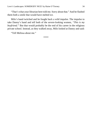"That's what your librarian here told me. Sorry about that." And he flashed them both a smile that would have melted ice.

Milo's hand twitched and he fought back a wild impulse. The impulse to take Danny's hand and tell both of the severe-looking women, *"This is my boyfriend."* But that would probably be the end of his career in the religious private school. Instead, as they walked away, Milo looked at Danny and said:

"Tell Melissa about me."

\*\*\*\*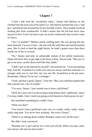<span id="page-34-0"></span>"I had a talk with Mr. Swaisbrick today," Danny told Melissa as she climbed into the back seat of his patrol car. She liked to pretend she was a 'bad guy' and that he had arrested her for her horrible crimes. They usually involved stealing pies from windowsills. It didn't matter that the kid had never seen anyone in New York City leave a pie out on the windowsill; that was her crime of choice.

"Am I in trouble?" Melissa asked, sniffing hard. She was giving him her most dramatic *I'm sorry!* look—the one with the wide blue eyes and the painful pout. She'd cried so hard the night before, he hadn't gotten more than three words out of her in an hour.

"No," Danny said after an unbearable minute of her pitiful expression. Damn kid knew how to get right at the heart of him. Always had. "But you've got to be more careful about stuff like that, kiddo."

"I didn't get on the Internet by myself!" she pointed out. "I was just getting help. And Mr. Swaisbrick is really nice and you always said that someone is a stranger until you've met him, but you met Mr. Swaisbrick at the pet store. Remember, Danny? So he isn't a stranger."

"Yeah, and that's good, I guess." *Fine line.* "But, you could have gotten him and yourself into a lot of trouble."

"I'm sorry, Danny. I just wanted you to have a girlfriend."

"Well, let's just cool it on the trying to help Danny find a 'girlfriend', okay? I'm okay, kiddo. I don't need you going on the Internet to find anyone for me."

She mumbled something he couldn't hear.

"What was that?"

"You haven't had a girlfriend come over in a really, really, really, really, really long time. You never have anybody. Not even a friend."

"What're ya talking about, kiddo? Branden comes over all the time."

She didn't look convinced.

"Branden isn't a *girl* and he isn't even your *friend*. When you play cards, you always yell and use bad words."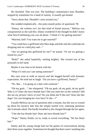He chuckled. That was true. The building's maintenance man, Branden, stopped by sometimes for a hand of rummy. It usually got heated.

"Sorry about that. Shouldn't curse around you."

She nodded emphatically—the potty-mouth police of apartment 7B.

"Danny, the website isn't for *that* kind of friend anyway." Melissa was conspiratorial as she said this. Danny wondered if she thought he didn't know what New YorkDating.com was all about. "I think it's for getting married."

"Married, huh? You want me to get married?"

"You could have a girlfriend who likes dogs and kids and she could take me shopping and we could play and—"

"Are we getting this girlfriend for me?" he teased. "Or are we getting a friend for *you*?"

"Both?" she asked hopefully, smiling brightly. She twisted one of her ponytails in her hand.

Maybe it was time to be honest with her.

"What if I told you I am seeing someone?"

Her eyes went as wide as saucers and she hugged herself with dramatic expectation. He tried not to laugh. "*Do you* have a girlfriend, Danny?"

"No. But… I'm going on a date with someone."

"Oh my gosh…" she whispered. "Oh my gosh, oh my gosh, oh my gosh! Who is it? Does she have blonde hair? Did you meet her on the website? Did she see my picture I drew of you? Do you think she'll like me? Does she like dogs? Are you bringing her over here? Is she—?"

Usually Melissa ran out of questions after a minute, but she was so wound up about his mystery date that she simply started over, repeating questions she'd already asked. She hardly breathed as she charged through the list again.

"I bet she has blonde hair! Does she have blonde hair?"

"Nope," Danny finally cut in, ready to reveal everything. "*He* has black hair."

Danny and his young charge had run the gamut of conversations during their three years together. Sometimes he thought that there wasn't anything else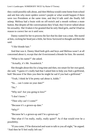they could possibly talk about, and then Melissa would come home from school and ask him why more spiders weren't purple or what would happen if there were *two* Presidents at the same time, and they'd talk until she finally fell asleep. Melissa had a brain with no off-switch and a mouth without a mute button. But despite *all* the conversations they'd had, they'd never talked about his sexuality. She'd taken it for granted that he only liked girls, and he'd had no reason to correct her on it until now.

Danny waited for her to process the fact that his date was a man. She stared at him, cocking her head just a little, her brow furrowed in thought and then she said:

"I like blonde hair."

And that was it. Danny liked both girls and boys and Melissa wasn't at all concerned about it, except that she'd envisioned a blonde for him. He snorted.

"What is his name?" she asked.

"Actually, it's Mr. Swaisbrick."

She thought about this for a long time and then, too smart for her own good, she said, "I guess it's really bad that I asked him to help you find a girlfriend, huh? Because if he likes you then he might be sad if you had a girlfriend."

"Yeah, I think he'd be pretty sad about it, kiddo."

"So… can I come on your date?"

" $N_0$ "

"Why not? Are you going to kiss?"

"I don't know."

"Then why can't I come?"

"Because it's a grown-up date."

"Why?"

"Because he's a grown-up and I'm a grown-up."

"But what if I'm really, really, really quiet?" As if that would ever be a possibility.

"If you come, I'll be distracted and want to talk to you all night," he argued. "And then he'll feel really left out."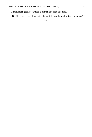That almost got her. *Almost.* But then she hit back hard.

"But if I don't come, how will I know if he really, really likes me or not?"

\*\*\*\*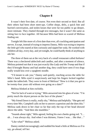<span id="page-38-0"></span>It wasn't their first date, of course. Not even their second or third. But all their others had been short meet-ups. Coffee shops, delis, a quick bite and hurried conversation, and stolen kisses that were far too public to go deeper, more intimate. They chatted through text messages, but it wasn't the same as sitting face to face together. All because Milo had been so scared of Melissa finding out.

Tonight felt like more of a first date than ever, all crackling anticipation and nerves. Except, instead of trying to impress Danny, Milo was trying to impress the little girl who stared at him curiously and sipped her soda. He worked with children all day, every day, and yet tonight, he could hardly think of anything to ask her.

The three of them sat at the very back of a small restaurant called *Italiano!*  There was a checkered tablecloth and candles, and after a moment of silence, Melissa pointed out that it was just exactly like *Lady and the Tramp* and that if they'd brought Bunny and had another dog, they could have seen if two dogs really would kiss over a spaghetti noodle.

"I'd meant to ask you," Danny said quietly, reaching across the table for Milo's hand. Milo eyed it suspiciously and kept his fingers locked together under the tablecloth. They were in front of Melissa! "How is it that you got to be twenty-four years old without ever going on a date?"

Melissa blinked at him owlishly.

"Not for lack of want or trying," Milo answered into his glass of wine. "I'm pretty much the shyest person on the face of the planet."

"My friend Dawn is really, really shy," Melissa said helpfully. "She gets red every time Mrs. Campbell calls on her to answer a question and she does this." Melissa sank down in her chair so far that only the top of her head showed above the table. "And then she mumbles."

"Sounds about right," Milo agreed, feeling his own cheeks going red. "I… uh… I was always shy. And when I was thirteen, I knew I was… *like that*…"

"Like what?" Melissa asked.

Danny smiled encouragingly and nodded his head a little at Melissa as if to say, *go ahead, tell her.*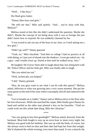"Well… I like boys."

His flush grew hotter.

"Danny likes boys *and* girls."

"He told me that," Milo said quietly. "And… you're okay with that, Melissa?"

Melissa stared at him like she didn't understand the question. Maybe she didn't. Maybe the concept of *not* being okay with it was so foreign she just didn't know how to respond. He was suddenly charmed by her.

"I was scared to ask out any of the boys in my class, so I tried asking out a few girls."

"Didn't go well?" Danny guessed.

"Yeah, no," Milo chuckled. "And then in college I had no practice at all with dating, so I just sort of shrank into the shadows. I even got asked out—by a guy—and I totally froze up. Stared at him until he walked away. Jeez."

He laughed. He'd *never* been able to laugh about that, but sitting here with Mr. Police Officer and his little girl, Milo was finally able to laugh.

"But you asked me out."

"Well, technically you helped."

"I did," Danny grinned.

"Hey, do you guys want to see what I can do with this spoon?" Melissa asked, oblivious to what was growing into a very warm moment. She put her soup spoon on the end of her nose where it promptly slid off and clattered to the floor.

"Got to breathe on it, kiddo," Danny said as Melissa dove to the floor after her lost silverware. While she searched the carpet, Milo finally gave Danny his hand and smiled as the other man planted a kiss on his knuckles. "Glad we could work out this whole date thing, Milo the Librarian."

\*\*\*\*

"Are you going to kiss him goodnight?" Melissa asked, drowsily from the backseat. Most kids fought to stay up an extra hour or more every night, but Melissa was good with her bedtime. She was up with the birds, of course, but she always went to bed on time and their date had kept her from that tonight. She'd chattered the whole evening, even more than usual. It was a miracle the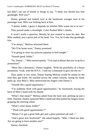kid didn't run out of breath or things to say. "I think you should kiss him goodnight. Will you?"

Danny grinned and looked over at the handsome younger man in his passenger seat. Milo was looking back at him.

"I dunno, kiddo. I guess it depends on whether Milo wants me to or not."

They passed under a streetlight. Color flushed Milo's cheeks.

It wasn't really a question. Mostly, he just wanted to tease his date. But Milo nodded, just a quick jerk of his head. Yes. Yes, he'd take that goodnight kiss.

"I'm sleepy," Melissa informed them.

"We'll be home soon," Danny promised.

"I'm going to wear my princess pajamas to bed tonight."

"Sounds good, kiddo."

"So, Danny…" Milo started quietly. "You said at dinner that you're up for a promotion?"

"More like a demotion," Danny laughed. "With the possibility of a future promotion. Yeah, with the RTCC. I told my Lieutenant to give me the rec."

They spoke in low tones, Danny hoping Melissa would be asleep by the time they got home. He reached across the center console, laying his hand, palm up, near Milo's. Milo intertwined his fingers with Danny's.

"Sounds like a good opportunity."

"I'm suddenly flush with good opportunities," he murmured, tracing the back of Milo's hand with his thumb.

"What's that mean?" Melissa asked from the back seat, perking up just a little. Dammit. Danny squeezed Milo's hand and then pulled his fingers loose, gripping the steering wheel.

"What's what mean, kiddo?"

"'Flush with good opportunities'?"

"Means I've got a great little girl and a great potential job and—"

"And a great new boyfriend?" she asked happily. "Milo. I liked our date. Are we going to have another one?"

Danny chuckled.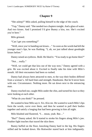<span id="page-41-0"></span>"She asleep?" Milo asked, pulling himself to the edge of the couch.

"Yup," Danny said. "She needed two chapters tonight. And a glass of water. And two kisses. And I promised I'd give Bunny a kiss, too. She's excited you're here."

Milo grinned.

"Can I get you something?"

"Well, since you're handing out kisses…" As soon as the words had left the younger man's lips, he was flushing. "I, uh, we just talked about goodnight kisses before."

Danny raised an eyebrow. Bold. He liked it. "You ready to go home then?"

"Not… really."

"Well, we could get that kiss out of the way now," Danny agreed with a grin. He was excited about it. Excited to finally take his time with Milo's mouth. All their encounters had been so rushed.

Danny had always been attracted to men, to the way their bodies differed from a woman's. All hard lines and strength. Handsome. But he'd never been with one. Circumstance. Nothing more. He sat down next to the entrancing man.

Danny reached out, caught Milo under the chin, and turned his face so they were looking at each other.

"What do you think?" he pressed.

He wanted to hear Milo say it. *Yes. Kiss me*. He wanted to watch Milo's lips form the words, curve over them, and then he wanted to pull their bodies together and satisfy a longing that had been growing in him all night.

Milo blushed and flustered, "I… mean, yeah. But…"

"But?" Danny asked. He'd started to stroke his fingers along Milo's jaw. Feather-light touches that traced the skin there.

Bunny huffed on the floor, knocking Danny hard in the leg. His fingers stilled and he looked down. His Rottweiler stared back at him indignantly.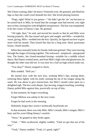She'd been waiting, didn't he know? *Patiently* even. He grinned, and lifted his legs so that she could crawl beneath his feet. She loved playing footrest.

"Dogs, right? What're you gonna—" He didn't get the 'do' out because as he turned back to Milo, he found that the younger man had moved, was right next to him, kissing him with delightful inexperience. The kiss was misplanted. It hit the corner of Danny's lips. He grinned.

"All right, then," he said, and moved his mouth so that he and Milo were kissing properly. His lips teased and gave and sought, and Milo—wonderful, warm, giving, Milo—molded into the kiss. Quickly, he figured out how to give more with his mouth. They kissed like that for a long time. Hard, passionate kisses, closed mouths.

When they mutually broke for breath, both men grinned. They were moving through the stages of kissing together. The awkward—misplaced—playground kiss. The frantic, but closed-mouthed kissing—suitable for a middle school dance. But Danny wanted more, and from Milo's high color and glazed eyes, he thought the other man did too. It was time for a full-on high school make out.

"You okay?" Danny stopped to check.

Milo nodded. "Hell yes."

He started slow with the next kiss, working Milo's lips, teasing them, torturing them lightly with his teeth, running the tip of his tongue along the seam. He was about to give instructions, but Milo's mouth came open on a delighted sigh. The kiss went deeper, lips moving, tongues touching, wrestling. Danny pulled Milo against him, practically on top of him.

In that moment, he forgot everything.

Forgot Melissa was asleep in the next room.

Forgot he had work in the morning.

Definitely forgot they weren't technically boyfriends yet.

In that moment, there was only Milo. Milo's mouth, Milo's tongue, Milo's heat, and his scent filling Danny's nostrils.

"Jesus," he gasped as they broke again.

"Glad…" Milo swallowed, slightly wobbly. "Glad we got that out of the way."

"Yeah," Danny nodded. "Yeah, it's good, right?"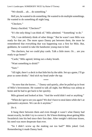"We should… uh… do something."

Hell yes, he wanted to do something. He wanted to do multiple somethings. He wanted to do something all night long.

"Checkers."

Danny chuckled. "Checkers?"

"It's the only thing I can think of," Milo admitted. "'Something' to do."

"Oh, I can definitely think of other things." But he wasn't sure Milo was ready for that yet. The more space Danny put between them, the more he remembered that everything that was happening was a first for Milo. But, goddamn, he wanted to take the handsome young man to bed.

"No checkers, but we could play cards. Talk a little more. Or… are you ready to go home?"

"Cards," Milo agreed, letting out a shaky breath.

"Want something to drink?"

"Sure."

"All right, there's a deck in that little bin by the table. Set up a game, I'll go pour us some drinks." *And stick my head under the tap.*

\*\*\*\*

"So now that she knows…" Danny said quietly, after he pulled up in front of Milo's brownstone. He wanted to talk all night, but Melissa was asleep at home and he had to get back to her quickly.

Milo grinned and looked at him. "And the world didn't end or anything."

"When do I get to see you again? We don't have to steal dates while she's at gymnastics anymore. We can do it anytime."

*Do it.*

It hung there between them and even though it wasn't what Danny had meant exactly, he didn't try to correct it. He'd been thinking about getting Milo Swaisbrick into his bed since their first date. After tonight's delicious kisses, his need was more desperate than ever.

"So I didn't screw up the making out too bad?" Milo joked. God. Remembering it made Danny hard.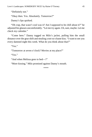"Okay then. Yes. Absolutely. Tomorrow?"

Danny's lips quirked.

"Oh crap, that wasn't cool was it? Am I supposed to be chill about it?" he adjusted his glasses uncomfortably. "Let me try again. Uh, sure, maybe. Let me check my calendar."

"Come here." Danny tugged on Milo's jacket, pulling him the small distance over the gear shift and stealing a not-so-chaste kiss. "I want to see you every damned night this week. What do you think about that?"

" $Y_{\text{ex}}$ "

"Tomorrow at seven o'clock? Movies at my place?"

"Yes."

"And when Melissa goes to bed—?"

"More kissing," Milo promised against Danny's mouth.

\*\*\*\*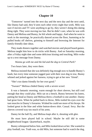<span id="page-45-0"></span>'Tomorrow' turned into the next day and the next day and the next until, like Danny had said, they'd seen each other every night that week. Milo was sure if movies and TV were anything to go by, they weren't doing this dating thing right. They were moving too fast. But he didn't care, when he was with Danny and Melissa and Bunny, he felt whole and happy. And when he went to work in the mornings, he practically danced across the floor, humming as he pulled books off shelves, grinning to himself and browsing the Internet for family-friendly date ideas.

They made dinners together and watched movies and played board games. Melissa taught him how to do tricks with Bunny. And on Saturday morning, after a Friday night date and some delicious kissing and touching, Milo woke up to a text message from Danny.

*Wanna go with me and the kid and the dog to Central Park?*

Two hours later, they were there.

Melissa insisted that she was definitely big enough now to handle Bunny's leash, but every time someone jogged past with their own dog in tow, Bunny whined and jerked against her harness, trying to get at her new 'friend'.

"She's too damn friendly for her own good."

"Swears!" Melissa chided Danny with a severe scowl.

It was a fantastic morning, warm enough for short sleeves, but still cool enough that they could play. Milo sat on a bench, Bunny between his knees, patting her head as Danny and Melissa threw a football to one another. Danny had great form. When he pulled back to throw, Milo trailed his eyes over the taut muscles in Danny's forearms. Wished he could see more of his biceps. He looked great in the blue and white button-down shirt. Casual. Sexy. But the sleeves covered way too much of his arms.

Danny let the ball fly, and Melissa leapt after it, shouting with glee.

He must have played ball in school. Maybe he still did in some neighborhood league. Quarterback, maybe.

Bunny whimpered below him, and Milo looked down at her. She wanted to play football, too. Truth was, so did Milo, but someone had to watch the dog,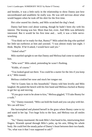and besides, it was a little early in the relationship to show Danny just how uncoordinated and unathletic he really was. He was still nervous about what would happen when he took off his shirt for the first time.

Hot color seared his cheeks, and Milo scratched the dog's head.

Danny had been cool about waiting, though he hadn't been shy with his interest. The kissing was hot. More than hot, even. And Milo was definitely interested. But it would be his first time and… well, it was a little nervewracking.

"You think we're ready for that, Bunny?" Milo asked the dog who quirked her little tan eyebrows at him and yawned. "I was almost ready last night. I think. Maybe. If he'd asked, I would have said yes."

"Asked what?"

Milo startled upright to see that Danny and Melissa had come to stand near him.

"Who won?" Milo asked, pretending he wasn't flushing.

"Kiddo, of course."

"You looked good out there. You could be a starter for the Jets if you keep at it," Milo teased.

Melissa crinkled her nose and stuck her tongue out.

"We're Giants fans in this household," Danny told him levelly and Milo laughed. He patted the bench with his free hand and Melissa clucked at Bunny to get her up and moving.

"If you guys want to be alone to kiss," Melissa giggled, "I'll take Bunny for a walk."

"Or," Danny reasoned, "Milo can hold the leash and you can play with her. We can still kiss."

She harrumphed and planted herself in the grass where Bunny came to try and stand in her lap. Two huge licks to the face, and Melissa was all smiles again.

"So," Danny murmured. He took Milo's free hand in his, intertwining their fingers. Warmth spread through Milo's palm, up his arm, filling his whole body. He could feel the steady pulse of Danny's heart between their two hands. "So, what was it that I was supposed to ask?"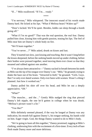"If…" Milo swallowed. "If I'm… *ready*."

\*\*\*\*

"I'm nervous," Milo whispered. The innocent sound of his words made Danny hard. He licked at his lips. "What if Melissa hears? Wakes up?"

"Door's locked. We'll be quiet. Besides, kiddo can sleep through a bomb going off."

"What if I'm no good?" That was the real question, the real fear. Danny pulled him close, kissing him with gentle passion, teasing his lips. The feel of Milo near him set Danny's whole body on fire.

"We'll learn together."

"You've never…?" Milo asked, drunk on kisses and lust.

They'd started out slow, just kissing and touching. But it wasn't long before the kisses deepened, before the seeking hands moved up under clothing, before their bodies were pressed together, need moving them ever closer so that they moaned and rubbed against one another.

"I've always been attracted to—" Danny sucked in breath between his teeth as Milo ran the tip of his tongue over Danny's ear. "*Milo*," he groaned, trying to shake the haze out of his brain. "Attracted to *both*," he groaned. "Girls. Guys. But I've only ever dated women. Only ever been with women. Wasn't a thing I planned. Just how it worked out."

Danny pulled his shirt off over his head, and Milo let out a deeply appreciative, "*Oh*."

"What?"

"The muscles… and the…" Gently Milo nudged the ring that pierced Danny's left nipple, the one he'd gotten in college when he was drunk. "Melissa's picture wasn't a lie."

"You like?"

Milo definitely seemed pleased, if the way he lunged at Danny was any indication, his mouth full against Danny's, his tongue seeking, his hands wild on him. Eager virgin. God, the things Danny wanted to do to Milo's body.

"We're going to learn all this together," Danny promised, tugging at Milo's clothing, undressing him with the excitement of a first-timer. Every inch of bare flesh made Danny more and more delirious.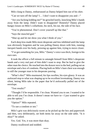Milo clung to Danny, embarrassed as Danny helped him out of his shirt.

"Can we turn off the lamp? I… I don't want to disappoint you and—"

"Are you fucking kidding me?" he growled lustily, knocking Milo's hands away from the lamp. Didn't want to disappoint? Honestly? Danny placed hungry kisses on Milo's collarbone, his neck, his ear, the side of his face.

"You're phenomenal. Don't cover yourself up like that."

"Says the muscled god."

"Shut up and let me show you what I think of you."

Each deep kiss made Milo more desperate and less inhibited until the lamp was obviously forgotten and he was pulling Danny down with him, running inexpert hands over his body, pressing up against him, trying to move closer.

"I've got something for you, Milo." Danny's voice was thick, foreign to his own ears.

It took the officer a full minute to untangle himself from Milo's desperate hands and a very real part of him didn't want to stop. But he *had* to give the other man the choice. He reached into the drawer next to the bed, pulling out an envelope and a box of condoms. Placing both on Milo's bare chest was enough to still the younger man in his desperate pawing.

"What's this?" Milo murmured, his lips swollen, his eyes glassy. It was an awkward stop to what was shaping up to be excellent lovemaking. Danny was silent, letting Milo take in the paper that he'd awkwardly pulled out of the envelope.

"Test results?"

"Thought I'd be responsible. I'm clean. Wanted you to see. I wanted to be able to tell you I'm clean. It doesn't mean we have to—I just wanted to give you the option."

"Option?" Milo repeated.

"To use a condom or not."

Milo's grin was deliciously sweet as he picked up the box and paperwork and then, very deliberately, set both items far away on the side table. "Is it okay?" he asked.

Yes. God. Yes, it was more than okay.

Danny swallowed and nodded.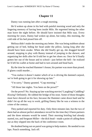<span id="page-49-0"></span>Danny was running late after a rough morning.

He'd woken up alone in his bed with painful morning wood and only the lingering memory of having been inside Milo. He regretted letting the other man leave the night before. He should have insisted that Milo stay. Every morning for years, Danny had woken up alone, but today, this morning, the cold side of his bed pissed him off.

Melissa didn't make the morning any better. She was being stubborn about getting out of bed, hiding her head under the pillow, lazing long after she should have been awake. When she did finally get up, she dragged herself around, stopping to play with Bunny instead of jumping in the shower, and organizing her dolls after he'd told her to get her shoes on. Once he'd finally gotten her out of the house and to school—just before the bell—he realized he'd left his wallet at home and had to turn around and head back.

By the time he reached Hammer's house, his partner was more than pissed. If glares could murder…

"You realize it doesn't matter which of us is driving the damned carpool, we're both going to get it for showing up late."

"I'm sorry," Danny grunted. "Crap morning."

"All those late nights. You been on the prowl?"

On the prowl? No. Staying up late watching movies? Laughing? Cuddling? *Kissing*? Definitely. He rubbed the bridge of his nose. Some of those thoughts must have showed on his face, because the Hammer came down hard and he didn't let up all the way to work, grilling Danny like he was a witness to the crime of the century.

They parked and reported for duty. Only three minutes late, but the two of them had an almost perfect attendance record for the time they'd been partners and the three minutes would be noted. Their morning briefing had already started, too, and Sergeant Miller—the dick head—made a point of calling them out as they slipped into the back of the conference room.

He doubted being out on patrol was going to help matters. He needed to run laps. Punch something. Jack off.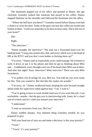The lieutenant popped out of his office and pointed at Danny. His gut clenched. Greenley looked like someone had pissed in his coffee. Danny slapped Hammer on the shoulder and followed the lieutenant into his office.

"Where the hell have you been?!" Greenley roared before Danny even had a chance to close the door. Some of the guys out near the coffee pot turned and looked at them. "I told you yesterday to be here an hour early. Did it fall out of your brain?"

Shit.

Right.

"The interview."

"Damn straight, the interview!" The man ran a frustrated hand over his balding head. "I sing your praises this, that, and every which way to the head of HR at the RTCC and you don't even bother to fucking show up?"

"I'm sorry," Danny said as respectfully as he could manage. He'd meant to write it down or put it in his phone and then he got to thinking about Milo and… Goddammit, every thought went out of his head when Milo was in there. And after last night? Jesus. Interview? *What interview?* There was only Milo Swaisbrick.

"I've pulled a lot of strings for you, McCrea. You told me you were ready for this. That you wanted it. But shit like this makes me wonder."

"I'm sorry, sir." Danny swallowed hard, keeping his eyes focused straight ahead while his supervisor railed against him. "I do. I want it."

"You're going to have to work double hard now if you want that job. I can reschedule—*maybe*—but the guy you're interviewing with, Jones, he's a hard son-of-a-bitch and he's riled you missed your interview."

"I understand."

"I want an assurance from you, McCrea."

Danny nodded sharply. Any damned thing Greenley needed, he was prepared to give.

"Pull your head out of your ass and make a decision: is this your priority?"

"Yessir."

"Yessir' it's your priority?"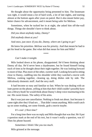He thought about the opportunity being presented to him. The lieutenant was right, it would mean a lot of hard work, a lot of late nights, and starting almost at the bottom again after years on patrol. But it also meant better pay, better chance for advancement, and it meant being safer for Melissa.

Sometimes, when he tucked her in at night, she asked him off-the-wall things. Things she shouldn't have to think about.

*Did you shoot anybody today, Danny? Did anybody shoot at you?*

And once, just once: *If you die, Danny, where am I going to go?*

He knew his priorities. *Melissa* was his priority. And that meant he had to get his head in the game. But what did that mean for him and Milo?

\*\*\*\*

#### *Can't make it tonight.*

Milo looked down at his phone, disappointed. He'd been thinking about Danny all day. He'd never been a daydreamer, but he found himself losing track of time as he thought about their night together. He was looking forward to more of that. Plus more of the other, sweeter stuff. Looking forward to sitting close to Danny, cuddling into his shoulder while they watched a movie with Melissa, cooking together, cleaning up, doing dishes side by side. The ridiculously domestic stuff. And the sexy stuff.

It had become so easy and familiar so fast. When he was dealing with an irate parent on the phone, yelling at him that *their* child couldn't *possibly* have lost a *library book!* he would think about Danny's deep voice murmuring in his ear. His sweet kisses. The safety of his arms.

But it was just one cancellation. Nothing to freak out about. Just because it came right after they'd had sex… That didn't mean anything. Milo could catch up on some reading, see some friends, grab a movie maybe.

#### *It's cool :) Next time?*

For a long time there was no reply and Milo thought that was that. He'd put a question mark at the end of his text, but it wasn't really a question, was it? Then his phone buzzed.

*Sometimes I think I like you too much.*

Milo grinned at the message.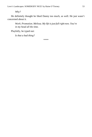*Why?*

He definitely thought he liked Danny too much, as well. He just wasn't concerned about it.

*Work. Promotion. Melissa. My life is just full right now. You're in my head all the time.*

Playfully, he typed out:

*Is that a bad thing?*

\*\*\*\*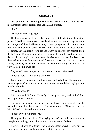<span id="page-53-0"></span>"Do you think that you might stay over at Danny's house tonight?" His mother seemed more curious than usual. Milo flushed.

"Ma!"

"Well, you are dating, right?"

His first instinct was to agree that they were, but then he thought about his phone. It had been over a week since he'd written that last message. *Is that a bad thing?* And there had been no reply. No text, no phone call, nothing. He'd tried to be chill about it, because he still didn't quite know what was 'normal' for dating. But that didn't work. He and Danny had never been normal. From the beginning. Danny helping Milo ask him out, the weird, secret hour-or-less dates, hell, meeting in a pet store to steal a kiss. And then once Melissa knew, the week of intense family-time and first-time gay sex for the both of them. Danny suddenly not calling or writing or communicating with him in any way…? Something was off.

Maybe he'd been dumped and he was too damned naïve to tell.

"I don't know if we're dating anymore."

For a moment, emotions conflicted on her lovely face. Concern and… something else. Concern won out and she came to sit beside him, laying an arm over his shoulders.

"What happened?"

Milo shrugged. "I dunno. Honestly. It was going really well. I think he's just… got other priorities."

She tucked a strand of hair behind his ear. Twenty-four years old and she was still treating him like he was five. But in that moment, Milo didn't care. He laid his head on his mother's shoulder.

"I'm sorry you're hurting, Milo."

He sighed, long and low. "I'm trying not to," he told her reasonably. "Maybe it's nothing. I don't know. I'm a little scared to find out."

She pressed her lips together. The look of concern was still there, but that something else he'd seen before crept back into her eyes.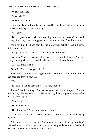"What?" he asked.

"What-what?"

"What's that look?"

She grinned uncomfortably and squeezed his shoulders. "What I'm about to say has no bearing on my sympathy."

"O… kay."

"But do you think maybe you could go out tonight anyway? Not with Danny, if you guys are having problems, but with another friend possibly?"

Milo lifted his head and saw that his mother was actually flushing, just a little in one cheek.

"It's just that I'm… having… a friend over for dinner."

"A friend?" Milo repeated, pulling back so he could look at her. She was always having friends over and she'd never kicked him out before.

"A… a… male friend."

Oh. *Oh!* "Ma, you've got a date?"

She smiled nervously and fidgeted, finally shrugging like a little kid who had been caught in a lie. "Yes?"

"That's…"

"It's okay if you're upset. It's… it's very sudden."

It wasn't sudden, though. Dad had been gone for almost two years. But who was this guy? He needed to know. He began to grill her, forgetting to assure her that he wasn't upset.

"Who is he?"

"His name is Paul."

"Do I know him? Where did you meet him?"

"You don't know him. I… well… actually," she tittered. "New York Dating dot com."

Milo blinked. The dating site? And how in the world did she get on there? His mother who couldn't figure out how to put her profile picture on Facebook had met someone on NewYorkDating.com!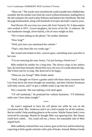"Show me." The words were out before he could consider how childish they sounded. But his mother rose from the couch without hesitation, leading him to the old computer she used to play Solitaire and balance her checkbook. She had the page bookmarked, along with hundreds of recipes she hadn't used in years.

*Paul Hewett*. He was sixty-two years old, from Teaneck, NJ. A data-analyst who worked in NYC. Grown daughters, the loves of his life. A widower. He was handsome enough, silver-haired, a bit of extra weight on him.

"We've been talking on the phone," his mother admitted.

"How long?"

"Well, just since you mentioned the website."

"That's only been like two weeks ago."

She turned and looked at him, concern gone, something more peaceful in her eyes.

"I'm not marrying the man, honey. I'm just having a friend over."

Milo studied his mother for a long time. The silvery wisps in her auburn hair, the tired lines beneath vibrant blue eyes, the trace of a smile about her lips. She'd been sad for so long. She deserved to be happy.

"What are you fixing?" Milo finally asked.

"Well, I thought we'd have a garden salad with those cherry tomatoes that Lisa from down the street brought me yesterday, and then Chicken Parmesan with baby carrots, and I've got a cobbler ready to go into the oven."

Not a casserole. She was making a *real* meal again.

"I'll call somebody," he promised her without hesitation. "I'll definitely make sure I have plans tonight."

\*\*\*\*

He wasn't supposed to have his cell phone out while he was on the circulation desk. Mrs. Anderson said it set a bad example for all the students. But he couldn't help sneaking glances at the screen. Maybe Danny hadn't even received his message. Maybe he thought Milo was ignoring him. But Danny could have called… *You could call too, y'know*, the reasonable side of Milo argued back.

Milo suddenly realized there was a heavy gaze on his face and he looked up, expecting to find a grade-schooler with a pile of books. Instead, Melissa Goode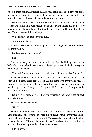stood in front of him, her braids pushed back behind her shoulders, her hands on her hips. There was a fierce little scowl on her face, and her bottom lip protruded in a small pout. She actually stamped her foot.

"Melissa?" Milo asked dumbly. He didn't know why he hadn't expected to see the little girl again. Just because he and her guardian had maybe-possibly broken up didn't mean she wouldn't use the school library. He smiled weakly at her. Her expression did not change.

"Why haven't you come over to play?"

She did not whisper.

Kids at the study tables looked up, and he tried to get her to drop her voice by dropping his.

"Melissa, not so loud, please."

"No!"

She was usually so sweet and rule-abiding. But the little girl who stood before him now in her knee-socks and pleated, plaid skirt looked as sassy and petulant as a teenager.

"You and Danny were supposed to take me to the movies last Sunday."

Jesus. They were, weren't they? That new Disney movie was out. It had been in his phone, color-coded green. All his plans with Danny and Melissa were in green. But it wasn't like he could just swing by their apartment and pick her up if he and Danny weren't together. He'd counted on Danny to handle this—to explain it to her.

"Danny…" he said, his voice barely a whisper, "and I aren't seeing each other right now."

Her brown eyes narrowed.

"*Why?*"

What was he supposed to say? Because Danny didn't want to see him? Because Danny's life was too busy for him? Because maybe Danny felt like he couldn't balance both a relationship with Melissa and a relationship with Milo? Jesus, or because Milo had been shit in bed? Or given it up too easily? Or maybe… because… probably… Danny was scared.

"I don't know."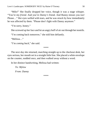"Milo!" She finally dropped her voice, though it was a stage whisper. "You're my *friend*. And you're *Danny's* friend. And Bunny misses you too! Please…" Her eyes welled with tears, and he was struck by how immediately he was affected by them. "Please don't fight with Danny anymore."

"I'm sorry, honey."

She screwed up her face and let an angry huff of air out through her nostrils.

"I'm coming back tomorrow," she told him defiantly.

"Melissa…"

"I'm *coming back*," she said.

\*\*\*\*

The next day she returned, marching straight up to the checkout desk, her eyes serious, her mouth set in a straight little line. She placed a white envelope on the counter, nodded once, and then walked away without a word.

In her distinct handwriting, Melissa had written:

*To: Mylow From: Danny*

\*\*\*\*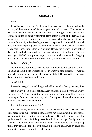<span id="page-58-0"></span>Fuck.

It had been over a week. Too damned long to casually reply now and yet the text stayed there at the top of his messages where he'd starred it. The lieutenant had called Danny into his office and delivered the good news personally. Things had piled up quickly after that. He'd gotten the job at the RTCC. That meant three separate after-hours celebrations with the guys, dinner at Hammer's one night, Melissa's gymnastics, paperwork, double shifts, and all the shit he'd been putting off to spend time with Milo, came back on him hard. There hadn't been time to think. To breathe. He was lucky when Bunny got her daily walk and Melissa made it to school with her hair in braids. The text message… He hadn't forgotten, he just hadn't wanted to answer that dangling message with an emoticon. It deserved a real, face-to-face conversation

#### *Is that a bad thing?*

No. Of course not. It was the exact fucking opposite of a bad thing. It was an amazing thing. Milo Swaisbrick was in Danny's bloodstream. He wanted him in his house, on his couch, at his table, in his bed. He wanted to go on more dates: him, Milo, Melissa, and Bunny.

#### A bad thing?

It was the best goddamned thing that had happened to Danny in a long time.

He'd always been crap at dating. Every relationship he'd ever had always ended when he'd done something, or, more often, *not* done something. Like not showing up for dates. Not returning calls. Putting work before his lover. And there was Melissa to consider, too.

Except that was crap, wasn't it?

Because before, the women in his life had been frightened of Melissa. The cute, precocious, super-smart kiddo. Melissa ran the show and his girlfriends had known that fact and they were apprehensive. But Milo had never tried to get between him and his little girl—in fact, Milo encouraged family time. He seemed content to wait for kissing until Melissa had gone to bed, thought up things they could do together with her, spoke to her like she was an adult, and never tried to push her into the background.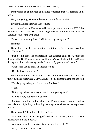Danny smirked and rubbed at the knot of tension that was forming in his neck.

Hell, if anything, Milo could stand to be a little more selfish.

It wasn't Melissa that was the problem.

And it wasn't work. Danny would have to put in the time at the RTCC, but he wouldn't be on call. He'd have a regular shift—he'd have set times off. Time he could spend with Milo.

"What's the matter, princess? Girlfriend neglecting you?"

Hammer.

Danny looked up, his lips quirking. "Last time you're gonna get to call me that, Hammer."

"Don't remind me. I'm heartbroken." He clutched at his chest, stumbling dramatically. But Danny knew better. Hammer's wife had confided to Danny, during one of his celebratory meals, *"He's really going to miss you."*

"Chance for you to break in another rookie."

"Do like breakin' rookies."

For a moment the older man was silent and then, clearing his throat, he thrust his hand out toward Danny. Danny took his partner's hand and shook it.

"This is going to be good for you and Melissa."

"Yeah"

"Not going to have to worry so much about getting shot."

"It'll definitely put her mind at ease."

"Melissa? Nah, I was talking about you. I'm sure you cry yourself to sleep every damned night. Maybe they'll give me a partner with some real experience this time."

Danny couldn't help himself. He laughed.

"And don't worry about that girlfriend, kid. Whatever you did to screw it up, flowers'll make it better."

"And you know this from twenty years married to Elle?"

"Nah, I saw it in a movie once."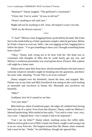"Hammer?" Danny laughed. "The girlfriend's a boyfriend."

"Christ, kid. You're waitin' 'til now to tell me?"

"Wasn't anything to tell until now."

Might still not be anything to tell. Jesus. He hoped it wasn't too late.

"Well, try the flowers anyway."

\*\*\*\*

"C'mon!" Melissa cried, dragging Danny up the hall by his hand. She'd met him in the inside hallway of their apartment complex when he got home. Before he'd had a chance to even say 'hello', she was tugging on him, begging him to follow her *faster*. "I've got something to show you! I brought something home from school!"

"Okay," Danny said, trying not to be terse with her. His head was so consumed with thoughts of Milo that he could barely get any rest, and Melissa's exuberant personality was wearing him down. Flowers. Shit, a phone call might be a better start.

Melissa threw open their front door, skirted around Bunny who had come to welcome whatever intruders might be breaking into the apartment, and threw her arms wide, shouting, "Ta-da! This is an in-ter-vention!"

Danny stepped over the threshold, closed the door, and stopped. Mrs. Palmer was in one chair and Milo Swaisbrick was sitting on the couch looking as miserable and run-down as Danny felt. Miserable and run-down, but beautiful.

"Milo?"

Goddamn, how he'd wanted to see him.

"Got your letter."

Milo held up a sheet of notebook paper, the edges all crinkled from having been torn out of a spiral. Even from that distance, Danny could see Melissa's labored handwriting. Milo smiled at him sadly, "You said to come 'very, very, very soon'. I figured three 'very's meant it had to be important."

"Can I see *my* letter?" Danny asked, reaching across the coffee table. Melissa tried to grab it out of Milo's hand, but Danny caught it and swung it up in an arc away from her. She hopped around him like Bunny when someone had a treat for her. "Settle," he told Melissa, though she ignored him.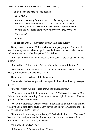"You don't need to read it!" she begged.

*Dear Mylow,*

*Please come to my house. I am sorry for being mean to you. Melissa is sad. She wants to see you. And I want to see you. And Bunny wants to see you. Because I think we should be boy friends again. Please come to my house very, very, very soon.*

*Your friend,*

*Danny*

"You can see why I couldn't stay away," Milo said quietly.

Danny looked down at Melissa who had stopped jumping. She hung her head, knowing she was about to get in trouble. Instead he just tousled her hair and took a seat next to her babysitter, Mrs. Palmer.

"So… an intervention, huh? How do you even know what that means, kiddo?"

"Me and Mrs. Palmer watch *Intervention* at her house all the time."

"Mrs. Palmer and I, chickee," she corrected in her loftiest accent. "And I'll have you know that's untrue, Mr. McCrea."

Danny raised an eyebrow at the babysitter.

She worried the beaded purse in her lap and adjusted her kitschy cat-eyed glasses.

"Maybe *I* watch it, but Melissa knows she's not allowed."

"You can't fight with Milo anymore, Danny!" Melissa cried, saving Mrs. Palmer from further scrutiny. She came to kneel right in front of Danny, grabbing his hand and squeezing it.

"We're not fighting," Danny promised, looking up at Milo who smiled weakly back at him. How could Danny have been so stupid? Leaving the text for as long as he did? "I just…"

"Don't you like him anymore, Danny?" God, she had no tact. "Because *I*  like him! He's really fun and he likes Bunny. He's nice and he likes kids! And I think he likes you too. Don't you, Milo?"

Milo nodded slowly. "I do."

"I like you, too," Danny admitted. "But—"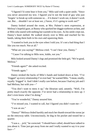"I figured I'd come hear it from you," Milo said with a quiet smile. "Since you never answered my text. I figured you're not the kind of guy who just 'forgets' to break up with someone so… if it doesn't work out, it doesn't work out. But… shouldn't we at least *see*, y'know, if it's going to work out?"

Danny looked around the room, at Mrs. Palmer's stern expression, at Melissa's hopeful gaze, at Bunny who quirked her doggie eyebrows at him, and at Milo who stared with nothing but warmth in his eyes. As his smile crept out, Danny's heart melted. He walked slowly over to Milo and reached for his hands, taking them both in his own and squeezing them.

"I wanted to look you in the eyes when I told you. It's not a bad thing that I like you too much. Not at all."

"What are you saying?" Melissa cried. "I can't hear you, Danny."

"Cause I'm talking to Milo now, kiddo, not you."

Milo looked around Danny's legs and promised the little girl, "We're good, Melissa."

"Friends again?" she asked excited.

"Friends again."

Danny stroked the backs of Milo's hands and looked down at him. "I've 'frigged' up every relationship I've ever had," he warned Milo. "I mean, totally, royally 'frigged' it. And I didn't really care before, because I had my job and I had Melissa, but with you—"

"You don't want to mess it up," the librarian said, astutely. "Well, I'm pretty much exactly the opposite. I've never had a relationship *to mess up*. I don't even know what I'm doing."

"You're wonderful," Danny assured him.

"I've missed you. I wanted to call, but I figured you didn't want me—"

"I was an ass."

"Danny!" Melissa chided harshly and stuck her thumb toward the swear jar on the entryway table. Unconsciously, he dug in his pocket and tossed her a quarter.

"I was a… *jerk*," he corrected. "I should have called, should have talked to you about it. Time just got away from me and I really wanted to say it to your face—"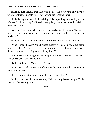If Danny ever thought that Milo was a shy wallflower, he'd only have to remember this moment to know how wrong the sentiment was.

"I like being with you. I like talking. I like spending time with you and Melissa. I… like kissing," Milo said very quietly, but not so quiet that Melissa didn't hear him.

"Are you guys going to kiss *again*?" she nearly squealed, running back over from the jar. "You can't kiss if you're not going to be boyfriend and boyfriend!"

Danny wondered where the child got these rules about love and dating.

"And I kinda like *you*," Milo finished quietly. "A lot. You've got a stressful job. I get that. You ever try being a librarian? Three hundred tiny, very demanding readers coming at you all day long?"

"So I guess we're doing this." Danny pulled Milo off the couch. "We can't kiss unless we're boyfriends. So…?"

"Not 'just dating'," Milo agreed. "*Boyfriends.*"

"I approve!" Melissa cried in such an adorably adult voice that neither man could hide his grin.

"I guess you want to weigh in on this too, Mrs. Palmer?"

"Only to say that if you're wanting Melissa at my house tonight, I'll be charging the evening rates."

\*\*\*\*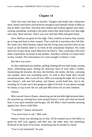<span id="page-64-0"></span>Their first time had been so hurried. Tongues and hands and a desperate need. Danny had barely slowed down enough to ease himself inside of Milo so that he didn't hurt him. And then their bodies had writhed against each other, rocking, pounding, swelling to the point where they both broke over that edge and came. Hard and fast. And it was over and then Milo had gone home.

Now, Melissa was gone for the night. They could be as loud as they wanted, go as long and hard as they wanted. They could do it anywhere they felt like. He could carry Milo buckass naked into the living room and have him on the couch or the kitchen table or in front of the ornamental fireplace. He could learn how to give head, teach Milo how he liked it. They could play with each other, experiment, luxuriate in one another. And they could do it as many times as they wanted. The anticipation of it went straight to Danny's cock.

But there was more.

As they undressed one another, pulling clothing off over their heads, tossing shirts, unbuckling pants, feeling the delicious lines of each other's bodies, memorizing the muscles, the skin, the freckles, the moles, the hair, caressing one another, there was something more. As wild as they made their second sexual encounter, after it was all over, Milo was staying the night. He'd curl up into Danny's side and fall asleep, and Danny would hold him, and in the morning, he'd wake up to that gorgeous sight in his bed. It was almost enough for Danny to say screw the sex and pull Milo down for an early bedtime.

Almost.

Milo moved close to Danny, shuttering out the last little light between them. He stretched up, twining bare arms around Danny's neck and when he kissed him, it was open mouthed and hungry. He felt Milo's hard member pressing against him. Brave, bold Milo.

"Condoms?" Danny murmured.

"You never have to ask," Milo said.

Danny's brain was shorting out on him. All he wanted was to feel Milo, to grind his stiff cock against, and then into, the other man, but something flickered at the back of his brain. Something that he needed to clarify.

"You're my boyfriend," he said.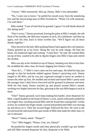"I know," Milo murmured. *Shut up, Danny,* Milo's kiss demanded.

"No, I want you to know," he pulled his mouth away from the tantalizing kiss and the intoxicating taste of Milo Swaisbrick. "When I'm with someone, I'm *with* them"

Milo smiled. "I sort of took that for granted. I guess I'm still dumb about all this dating stuff."

"Don't worry," Danny promised, kissing the pulse at Milo's temple, the soft flesh of his earlobe, the delicious expanse of neck, his collarbone, and then up again, over his chin, back to those swollen lips. "We'll figure out all those details together."

They moved to the bed, Milo pushing Danny back against the cool mattress. Danny grinned up at his lover, liking the way he took charge. He bent his knees, his manhood rigid and waiting. "Come here," he said. He wanted Milo on top of him, wanted to be able to dig his fingers into Milo's hips and control the rhythm.

Milo was shy as he climbed on top of Danny, bending over him to kiss him. He straddled the other man, his knees digging into Danny's hips.

"How do I…?" Milo's voice came out low and raspy. He tilted his hips just enough so that his backside rubbed against Danny's quivering cock. Danny longed to fill Milo, and he was just cognizant enough to know he needed to loosen the other up first. He molded and stroked and teased Milo's penis until the younger man's dark brows furrowed and he groaned in pleasure and need. With his free hand, Danny reached up and played around Milo's mouth, working two fingers between his lips, glorying in the way Milo began to suck at them.

"Uhn!" Danny groaned, each slurp making him harder, more desperate for Milo. Liquid beaded on the head of Danny's cock, and he reluctantly pulled his wet fingers free, reaching around Milo until he found that waiting hole. Gently at first, he worked one finger inside, coaxed and probed until Milo was moving up and down on it. Then the second finger followed the first. He went to the second knuckle and teased that spot inside of Milo that made the other man cry out in pleasure.

"More?" Danny asked. "Deeper?"

"Yes," Milo begged. "Please, God, yes, Danny!"

He pushed his fingers inside until they physically wouldn't go any further and still Milo seemed desperate for him, desperate to be filled.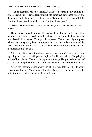"You're beautiful, Milo Swaisbrick," Danny whispered, gently pulling his fingers in and out. He could easily make Milo come just from those fingers and the way he stroked and played with his cock. "I thought you were beautiful the first time I saw you. I wanted you the first time I saw you."

"More," Milo breathed, his eyes glazed over, his cheeks flushed. "Please—! Please—!"

Danny was happy to oblige. He replaced his fingers with his aching member, shoving hard inside of Milo, whose entrance stretched and gripped him. Words disappeared. Thoughts disappeared. There was only the place where they were joined, there was only the rhythmic act, and the groans and the sweat and the building pressure in his balls. There was only them and this moment and this lust and—

Milo came first, grinding down hard against Danny's cock, hot liquid squirting out between his fingers and splattering Danny's chest. The gripping pulse of his hole sent Danny splurting over the edge. He grabbed the back of Milo's head and pulled him down into a desperate kiss as he filled his lover.

When the pleasure ebbed away and all that was left was the delicious sensation of floating, Milo collapsed next to Danny, pressing against his side. In that moment, neither man cared about the mess.

\*\*\*\*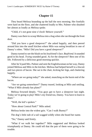<span id="page-67-0"></span>They heard Melissa bounding up the hall the next morning. Her footfalls were hard on the floor, and she chattered loudly to Mrs. Palmer who shushed her almost as loudly as Melissa spoke.

"Child, it's not gone nine o'clock! Behave yourself."

Danny was there to scoop Melissa into a hug when she ran through the front door.

"Did you have a good sleepover?" she asked happily, and then peered around him into the small kitchen where Milo was eating breakfast in one of Danny's robes. "Milo! Did you have a good sleepover?"

Danny turned to see the blush on his boyfriend's face. *Boyfriend.* It sounded good in his head. *Trying* sounded good. As for the sleepover? Best one of his life. Followed by a delicious good-morning quickie.

After he'd paid Mrs. Palmer and sent the Englishwoman on her way, Danny joined Melissa and Milo in the kitchen. Melissa had helped herself to a biscuit and two pieces of bacon. She sat in the chair, kicking her legs, and chattering happily.

"Where are we going today?" she asked, munching on the burnt end of the bacon.

"Are we going somewhere?" Danny teased, looking at Milo and smiling. "What if Milo already has plans?"

Melissa frowned deeply. "You guys got to have a sleepover last night. Today we're going to play! Milo's my friend too, Danny. You have to learn to share."

"Well, the kid's spoken."

"How about Central Park?" Milo asked.

Melissa broke into the widest grin. "Can I walk Bunny?"

The dog's little nub of a tail wagged wildly when she heard her name.

"No," Danny said firmly.

"What if we walk her together?" Milo suggested and Melissa looked triumphantly at Danny. He could tell that the pair of them were going to be trouble.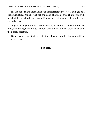His life had just expanded in new and impossible ways. It was going to be a challenge. But as Milo Swaisbrick smiled up at him, his eyes glimmering with mischief from behind his glasses, Danny knew it was a challenge he was excited to take on.

"I get to walk you, Bunny!" Melissa cried, abandoning her barely-touched food, and tossing herself onto the floor with Bunny. Both of them rolled onto their backs together.

Danny leaned over their breakfast and lingered on the first of a million kisses to come.

#### **The End**